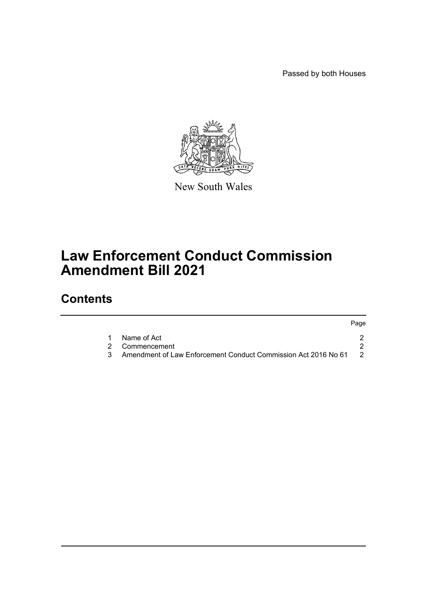Passed by both Houses



New South Wales

# **Law Enforcement Conduct Commission Amendment Bill 2021**

## **Contents**

|                                                                  | Page |
|------------------------------------------------------------------|------|
| Name of Act                                                      |      |
| 2 Commencement                                                   |      |
| Amendment of Law Enforcement Conduct Commission Act 2016 No 61 2 |      |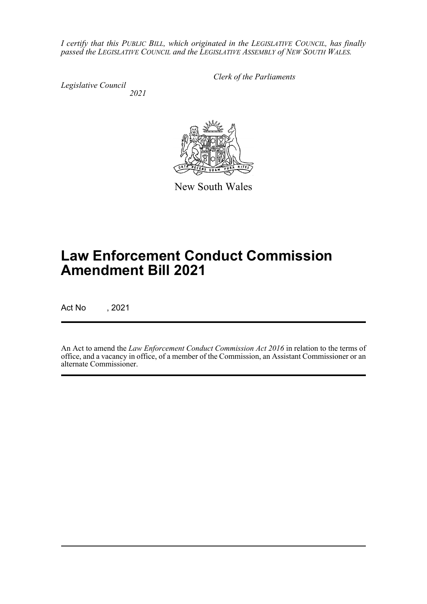*I certify that this PUBLIC BILL, which originated in the LEGISLATIVE COUNCIL, has finally passed the LEGISLATIVE COUNCIL and the LEGISLATIVE ASSEMBLY of NEW SOUTH WALES.*

*Legislative Council 2021* *Clerk of the Parliaments*



New South Wales

# **Law Enforcement Conduct Commission Amendment Bill 2021**

Act No , 2021

An Act to amend the *Law Enforcement Conduct Commission Act 2016* in relation to the terms of office, and a vacancy in office, of a member of the Commission, an Assistant Commissioner or an alternate Commissioner.